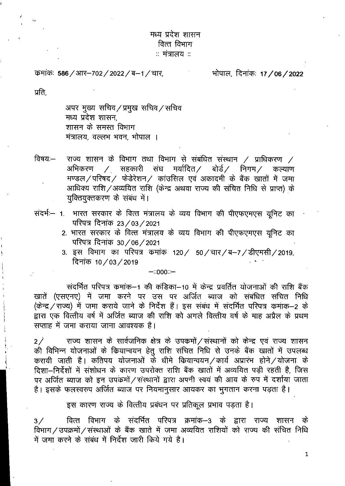# मध्य प्रदेश शासन वित्त विभाग ः मंत्रालय $\,$ ः

कमांकः 586 / आर–702 / 2022 / ब–1 / चार,

भोपाल, दिनांकः 17 **/** 06 **/** 2022

प्रति.

अपर मुख्य सचिव/प्रमुख सचिव/सचिव मध्य प्रदेश शासन. शासन के समस्त विभाग मंत्रालय, वल्लभ भवन, भोपाल ।

- राज्य शासन के विभाग तथा विभाग से संबंधित संस्थान  $/$  प्राधिकरण  $/$ विषय:— अभिकरण \_⁄ सहकारी संघ मर्यादित ⁄ बोर्ड ⁄ निगम ⁄ कल्याण मण्डल/परिषद/ फेडेरेशन/ कांउसिल एवं अकादमी के बैंक खातों में जमा आधिक्य राशि / अव्ययित राशि (केन्द्र अथवा राज्य की संचित निधि से प्राप्त) के युक्तियुक्तकरण के संबंध में।
- संदर्भः- 1. भारत सरकार के वित्त मंत्रालय के व्यय विभाग की पीएफएमएस यूनिट का परिपत्र दिनांक 23 / 03 / 2021
	- 2. भारत सरकार के वित्त मंत्रालय के व्यय विभाग की पीएफएमएस यूनिट का परिपत्र दिनांक 30/06/2021
	- 3. इस विभाग का परिपत्र कमांक 120/ 50/चार/ब-7/डीएमसी/2019, दिनांक 10/03/2019

 $-0000 -$ 

संदर्भित परिपत्र कमांक–1 की कंडिका–10 में केन्द्र प्रवर्तित योजनाओं की राशि बैंक खातें (एसएनए) में जमा करने पर उस पर अर्जित ब्याज को संबंधित संचित निधि (केन्द्र / राज्य) में जमा कराये जाने के निर्देश हैं। इस संबंध में संदर्भित परिपत्र कमांक–2 के द्वारा एक वित्तीय वर्ष में अर्जित ब्याज की राशि को अगले वित्तीय वर्ष के माह अप्रैल के प्रथम सप्ताह में जमा कराया जाना आवश्यक है।

राज्य शासन के सार्वजनिक क्षेत्र के उपक्रमों / संस्थानों को केन्द्र एवं राज्य शासन  $2\angle$ की विभिन्न योजनाओं के कियान्वयन हेतू राशि संचित निधि से उनके बैंक खातों में उपलब्ध करायी जाती है। कतिपय योजनाओं के धीमे कियान्वयन / कार्य अप्रारंभ होने / योजना के दिशा-निर्देशों में संशोधन के कारण उपरोक्त राशि बैंक खातों में अव्ययित पड़ी रहती है, जिस पर अर्जित ब्याज को इन उपकर्मो / संस्थानों द्वारा अपनी स्वयं की आय के रुप में दर्शाया जाता है। इसके फलस्वरुप अर्जित ब्याज पर नियमानुसार आयकर का भुगतान करना पड़ता है।

इस कारण राज्य के वित्तीय प्रबंधन पर प्रतिकूल प्रभाव पड़ता है।

वित्त विभाग के संदर्भित परिपत्र क्रमांक–3 के द्वारा राज्य शासन के  $3/$ विभाग / उपक्रमों / संस्थाओं के बैंक खाते में जमा अव्ययित राशियों को राज्य की संचित निधि में जमा करने के संबंध में निर्देश जारी किये गये है।

 $\mathbf{1}$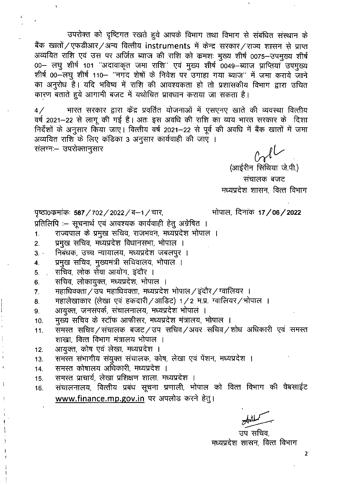उपरोक्त को दृष्टिगत रखते हुये आपके विभाग तथा विभाग से संबंधित संस्थान के बैंक खातों / एफडीआर / अन्य वित्तीय instruments में केन्द्र सरकार / राज्य शासन से प्राप्त अव्ययित राशि एवं उस पर अर्जित ब्याज की राशि को कमशः मुख्य शीर्ष 0075–उपमुख्य शीर्ष 00- लघु शीर्ष 101 "अदावाकृत जमा राशि" एवं मुख्य शीर्ष 0049-ब्याज प्राप्तियाँ उपमुख्य शीर्ष 00-लघु शीर्ष 110- "नगद शेषों के निवेश पर उगाहा गया ब्याज" में जमा कराये जाने का अनुरोध है। यदि भविष्य में राशि की आवश्यकता हो तो प्रशासकीय विभाग द्वारा उचित कारण बताते हुये आगामी बजट में यथोचित प्रावधान कराया जा सकता है।

भारत सरकार द्वारा केंद्र प्रवर्तित योजनाओं में एसएनए खाते की व्यवस्था वित्तीय  $4/$ वर्ष 2021-22 से लागू की गई है। अतः इस अवधि की राशि का व्यय भारत सरकार के दिशा निर्देशों के अनुसार किया जाए। वित्तीय वर्ष 2021-22 से पूर्व की अवधि में बैंक खातों में जमा अव्ययित राशि के लिए कंडिका 3 अनुसार कार्यवाही की जाएँ । संलग्नः- उपरोक्तानुसार

ी पर्या<br>(आईरीन सिंथिया जे.पी.)

संचालक बजट मध्यप्रदेश शासन, वित्त विभाग

भोपाल, दिनांक 17/06/2022

पृष्ठा0कमांकः 587 / 702 / 2022 / ब–1 / चार,

प्रतिलिपि :- सूचनार्थ एवं आवश्यक कार्यवाही हेतु अग्रेषित ।

- राज्यपाल के प्रमुख सचिव, राजभवन, मध्यप्रदेश भोपाल ।  $\mathbf{1}$ .
- प्रमुख सचिव, मध्यप्रदेश विधानसभा, भोपाल ।  $2.$
- निबंधक, उच्च न्यायालय, मध्यप्रदेश जबलपुर ।  $3.$
- प्रमुख सचिव, मुख्यमंत्री सचिवालय, भोपाल ।  $\overline{4}$ .
- सचिव, लोक सेवा आयोग, इंदौर ।  $5<sub>1</sub>$
- सचिव, लोकायुक्त, मध्यप्रदेश, भोपाल । 6.
- महाधिवक्ता / उप महाधिवक्ता, मध्यप्रदेश भोपाल / इंदौर / ग्वालियर ।  $\overline{7}$ .
- महालेखाकार (लेखा एवं हकदारी / आडिट) 1 / 2 म.प्र. ग्वालियर / भोपाल । 8.
- आयुक्त, जनसंपर्क, संचालनालय, मध्यप्रदेश भोपाल । 9.

मुख्य सचिव के स्टॉफ आफीसर, मध्यप्रदेश मंत्रालय, भोपाल । 10.

- समस्त सचिव/संचालक बजट/उप सचिव/अवर सचिव/शोध अधिकारी एवं समस्त  $11.$ शाखा, वित्त विभाग मंत्रालय भोपाल ।
- आयुक्त, कोष एवं लेखा, मध्यप्रदेश ।  $12.$
- समस्त संभागीय संयुक्त संचालक, कोष, लेखा एवं पेंशन, मध्यप्रदेश ।  $13.$
- समस्त कोषालय अधिकारी, मध्यप्रदेश ।  $14.$
- समस्त प्राचार्य, लेखा प्रशिक्षण शाला, मध्यप्रदेश । 15.
- संचालनालय, वित्तीय प्रबंध सूचना प्रणाली, भोपाल को वित्त विभाग की वेबसाईट 16. www.finance.mp.gov.in पर अपलोड करने हेत्।

उप सचिव. मध्यप्रदेश शासन, वित्त विभाग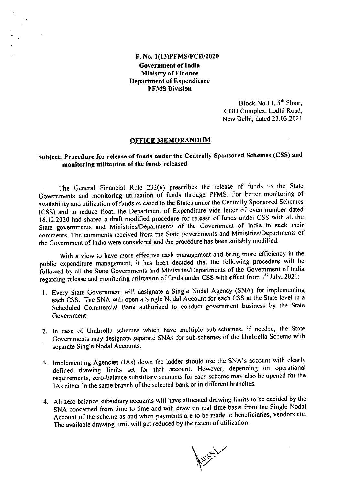### F. No. 1(13)PFMS/FCD/2020 Government of India Ministry of Finance Department of Expenditure PFMS Division

Block No. II,  $5<sup>th</sup>$  Floor, CGO Complex, Lodhi Road, New Delhi, dated 23.03.2021

#### OFFICE MEMORANDUM

# Subject: Procedure for release of funds under the Centrally Sponsored Schemes (CSS) and monitoring utilization of the funds released

The General Financial Rule 232(v) prescribes the release of funds to the State Governments and monitoring utilization of funds through PFMS. For better monitoring of availability and utilization of funds released to the States under the Centrally Sponsored Schemes (CSS) and to reduce float, the Department of Expenditure vide letter of even number dated 16.12.2020 had shared a draft modified procedure for release of funds under CSS with all the State governments and Ministries/Departments of the Government of India to seek their comments. The comments received from the State governments and Ministries/Departments of the Government of India were considered and the procedure has been suitably modified.

With a view to have more effective cash management and bring more efficiency in the public expenditure management, it has been decided that the following procedure will be followed by all the State Governments and Ministries/Departments of the Government of India regarding release and monitoring utilization of funds under CSS with effect from 1<sup>st</sup> July, 2021:

- Every State Government will designate a Single Nodal Agency (SNA) for implementing each CSS. The SNA will open a Single Nodal Account for each CSS at the State level in a Scheduled Commercial Bank authorized to conduct government business by the State Government.
- 2. In case of Umbrella schemes which have multiple sub-schemes, if needed, the State Governments may designate separate SNAs for sub-schemes of the Umbrella Scheme with separate Single Nodal Accounts.
- Implementing Agencies (lAs) down the ladder should use the SNA's account with clearly defined drawing limits set for that account. However, depending on operational requirements, zero-balance subsidiary accounts for each scheme may also be opened for the lAs either in the same branch of the selected bank or in different branches.
- All zero balance subsidiary accounts will have allocated drawing limits to be decided by the SNA concerned from time to time and will draw on real time basis from the Single Nodal Account of the scheme as and when payments are to be made to beneficiaries, vendors etc. The available drawing limit will get reduced by the extent of utilization.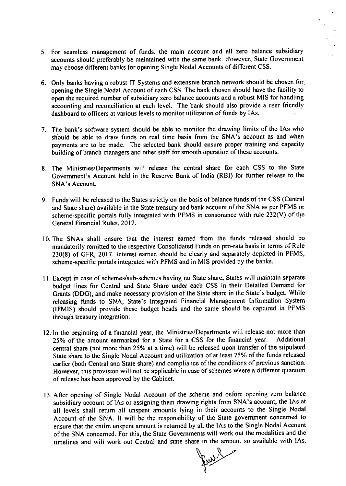- For seamless management of funds, the main account and all zero balance subsidiary accounts should preferably be maintained with the same bank. However, State Government may choose different banks for opening Single Nodal Accounts of different CSS.
- Only banks having a robust IT Systems and extensive branch network should be chosen for. opening the Single Nodal Account of each CSS. The bank chosen should have the facility to open the required number of subsidiary zero balance accounts and a robust MIS for handling accounting and reconciliation at each level. The bank should also provide a user friendly dashboard to officers at various levels to monitor utilization of funds by lAs.
- The bank's software system should be able to monitor the drawing limits of the lAs who should be able to draw funds on real time basis from the SNA's account as and when payments are to be made. The selected bank should ensure proper training and capacity building of branch managers and other staff for smooth operation of these accounts.
- The Ministries/Departments will release the central share for each CSS to the State Government's Account held in the Reserve Bank of India (RBI) for further release to the SNA's Account.
- Funds will be released to the States strictly on the basis of balance funds of the CSS (Central and State share) available in the State treasury and bank account of the SNA as per PFMS or scheme-specific portals fully integrated with PFMS in consonance with rule 232(V) of the General Financial Rules, 2017.
- 10. The SNAs shall ensure that the interest earned from the funds released should be mandatorily remitted to the respective Consolidated Funds on pro-rata basis in terms of Rule 230(8) of GFR, 2017. Interest earned should be clearly and separately depicted in PFMS, scheme-specific portals integrated with PFMS and in MIS provided by the banks.
- Except in case of schemes/sub-schemes having no State share, States will maintain separate budget lines for Central and State Share under each CSS in their Detailed Demand for Grants (DDG), and make necessary provision of the State share in the State's budget. While releasing funds to SNA, State's Integrated Financial Management Information System (IFMIS) should provide these budget heads and the same should be captured in PFMS through treasury integration.
- 12. In the beginning of a financial year, the Ministries/Departments will release not more than 25% of the amount earmarked for a State for a CSS for the financial year. Additional central share (not more than 25% at a time) will be released upon transfer of the stipulated State share to the Single Nodal Account and utilization of at least 75% of the funds released earlier (both Central and State share) and compliance of the conditions of previous sanction. However, this provision will not be applicable in case of schemes where a different quantum of release has been approved by the Cabinet.
- 13. After opening of Single Nodal Account of the scheme and before opening zero balance subsidiary account of lAs or assigning them drawing rights from SNA's account, the lAs at all levels shall return all unspent amounts lying in their accounts to the Single Nodal Account of the SNA. It will be the responsibility of the State government concerned to ensure that the entire unspent amount is returned by all the lAs to the Single Nodal Account of the SNA concerned. For this, the State Governments will work out the modalities and the timelines and will work out Central and state share in the amount so available with lAs.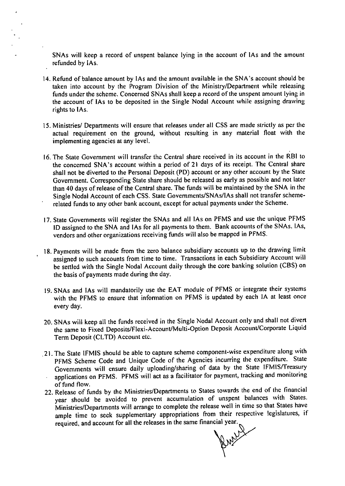SNAs will keep a record of unspent balance lying in the account of lAs and the amount refunded by !As.

- 14. Refund of balance amount by IAs and the amount available in the SNA's account should be taken into account by the Program Division of the Ministry/Department while releasing funds under the scheme. Concerned SNAs shall keep a record of the unspent amount lying in the account of lAs to be deposited in the Single Nodal Account while assigning drawing rights to lAs.
- 15. Ministries/ Departments will ensure that releases under all CSS are made strictly as per the actual requirement on the ground, without resulting in any material float with the implementing agencies at any level.
- The State Government will transfer the Central share received in its account in the RBI to the concerned SNA's account within a period of 21 days of its receipt. The Central share shall not be diverted to the Personal Deposit (PD) account or any other account by the State Government. Corresponding State share should be released as early as possible and not later than 40 days of release of the Central share. The funds will be maintained by the SNA in the Single Nodal Account of each CSS. State Governments/SNAs/lAs shall not transfer schemerelated funds to any other bank account, except for actual payments under the Scheme.
- 17. State Governments will register the SNAs and all IAs on PFMS and use the unique PFMS ID assigned to the SNA and lAs for all payments to them. Bank accounts of the SNAs. lAs, vendors and other organizations receiving funds will also be mapped in PFMS.
- 18. Payments will be made from the zero balance subsidiary accounts up to the drawing limit assigned to such accounts from time to time. Transactions in each Subsidiary Account will be settled with the Single Nodal Account daily through the core banking solution (CBS) on the basis of payments made during the day.
- 19. SNAs and IAs will mandatorily use the EAT module of PFMS or integrate their systems with the PFMS to ensure that information on PFMS is updated by each IA at least once every day.
- 20. SNAs will keep all the funds received in the Single Nodal Account only and shall not divert the same to Fixed Deposits/Flexi-Account/Multi-Option Deposit Account/Corporate Liquid Term Deposit (CLTD) Account etc.
- .21. The State IFMIS should be able to capture scheme component-wise expenditure along with PFMS Scheme Code and Unique Code of the Agencies incurring the expenditure. State Governments will ensure daily uploading/sharing of data by the State IFMIS/Treasury applications on PFMS. PFMS will act as a facilitator for payment, tracking and monitoring of fund flow.
- 22. Release of funds by the Ministries/Departments to States towards the end of the financial year should be avoided to prevent accumulation of unspent balances with States. Ministries/Departments will arrange to complete the release well in time so that States have ample time to seek supplementary appropriations from their respective legislatures, if required, and account for all the releases in the same financial year.

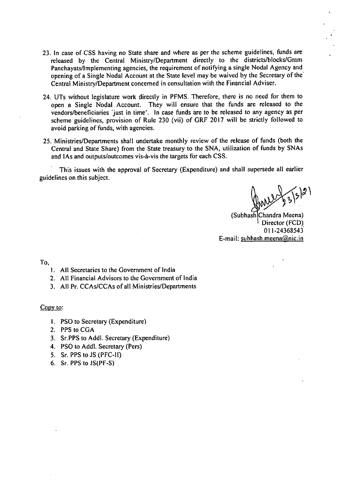- 23. In case of CSS having no State share and where as per the scheme guidelines, funds are released by the Central Ministry/Department directly to the districts/blocks/Gram Panchayats/lmplementing agencies, the requirement of notifying a single Nodal Agency and opening of a Single Nodal Account at the State level may be waived by the Secretary of the. Central Ministry/Department concerned in consultation with the Financial Adviser.
- UTs without legislature work directly in PFMS. Therefore, there is no need for them to open a Single Nodal Account. They will ensure that the funds are released to the vendors/beneficiaries 'just in time'. In case funds are to be released to any agency as per scheme guidelines, provision of Rule 230 (vii) of GRF 2017 will be strictly followed to avoid parking of funds, with agencies.
- Ministries/Departments shall undertake monthly review of the release of funds (both the Central and State Share) from the State treasury to the SNA, utilization of funds by SNAs and lAs and outputs/outcomes vis-à-vis the targets for each CSS.

This issues with the approval of Secretary (Expenditure) and shall supersede all earlier guidelines on this subject.

(Subhash Chandra Meena) Director (FCD) 011-24363543 E-mail: subhash.meena@nic.in

To,

- All Secretaries to the Government of India
- All Financial Advisors to the Government of India
- All Pr. CCAs/CCAs of all Ministries/Departments

Copy to:

- I. PSO to Secretary (Expenditure)
- 2. PPS to CGA
- Sr.PPS to Addl. Secretary (Expenditure)
- PSO to Addl. Secretary (Pers)
- 5. Sr. PPS to JS (PFC-II)
- 6. Sr. PPS to  $JS(PF-S)$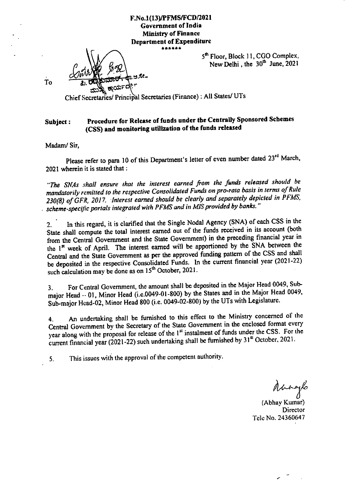### **F.No.1(13)/PFMS/FCD/2021 Government of India Ministry of Finance Department of Expenditure**  \*\*\*\*\*\*

5<sup>th</sup> Floor, Block 11, CGO Complex, New Delhi, the  $30<sup>th</sup>$  June, 2021

To

Chief Secretaries/ Principal Secretaries (Finance) : All States/ UTs

## **Subject: Procedure for Release of funds under the Centrally Sponsored Schemes (CSS) and monitoring utilization of the funds released**

**Madam/ Sir,** 

1).

Please refer to para 10 of this Department's letter of even number dated 23<sup>rd</sup> March, 2021 wherein it is stated that:

*"The SNAs shall ensure that the interest earned from the funds released should be mandatorily remitted to the respective Consolidated Funds on pro-rata basis in terms of Rule 230(8) of GFR, 2017. Interest earned should be clearly and separately depicted in PFMS, . scheme-specific portals integrated with PFMS and in MIS provided by banks."* 

In this regard, it is clarified that the Single Nodal Agency (SNA) of each CSS in the  $2.$ State shall compute the total interest earned out of the funds received in its account (both from the Central Government and the State Government) in the preceding financial year in the 1<sup>st</sup> week of April. The interest earned will be apportioned by the SNA between the Central and the State Government as per the approved funding pattern of the CSS and shall be deposited in the respective Consolidated Funds. In the current financial year (2021-22) such calculation may be done as on 15<sup>th</sup> October, 2021.

For Central Government, the amount shall be deposited in the Major Head 0049, Sub- $3<sub>1</sub>$ major Head  $\cdot$  01, Minor Head (i.e.0049-01-800) by the States and in the Major Head 0049, Sub-major Head-02, Minor Head 800 (i.e. 0049-02-800) by the UTs with Legislature.

An undertaking shall be furnished to this effect to the Ministry concerned of the 4. Central Government by the Secretary of the State Government in the enclosed format every year along with the proposal for release of the 1<sup>st</sup> instalment of funds under the CSS. For the current financial year (2021-22) such undertaking shall be furnished by 31<sup>st</sup> October, 2021.

This issues with the approval of the competent authority. 5.

Manaylo<br>(Abhay Kumar) **Director** Tele No. 24360647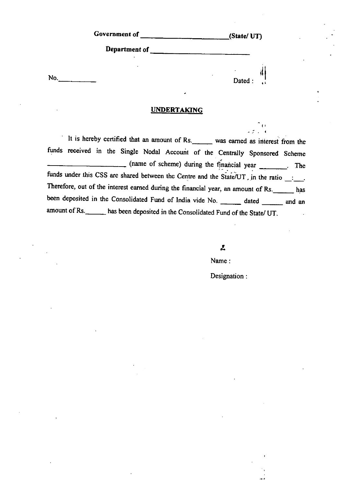| Government of | (State/UT)   |
|---------------|--------------|
| Department of |              |
|               |              |
| No.           | ۰<br>Dated : |

#### **UNDERTAKING**

It is hereby certified that an amount of Rs. was earned as interest from the finds received in the Single Nodal Account of the Centrally Sponsored Scheme (name of scheme) during the financial year \_\_\_\_\_\_. The funds under this CSS are shared between the Centre and the State/UT, in the ratio  $\frac{1}{\sqrt{1-\frac{1}{n}}}$ . Therefore, out of the interest earned during the financial year, an amount of Rs. has been deposited in the Consolidated Fund of India vide No. \_\_\_\_\_ dated \_\_\_\_\_\_ and an amount of Rs. has been deposited in the Consolidated Fund of the State/ UT.

J,

Name:

Designation:

l• •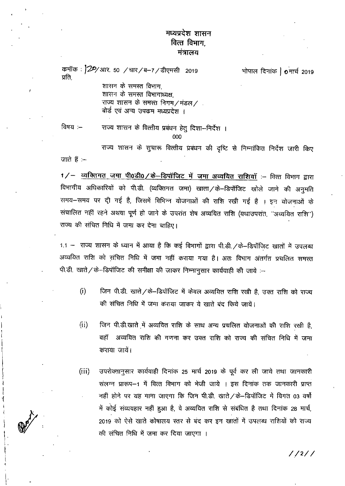# मध्यप्रदेश शासन वित्त विभाग. मंत्रालय

कमॉक : 22/आर. 50 /चार/ब-7/डीएमसी 2019 भोपाल दिनांक |  $\sigma$ मार्च 2019 प्रति. शासन के समस्त विभाग.

शासन के समस्त विभागाध्यक्ष. राज्य शासन के समस्त निगम/मंडल/ . बोर्ड एवं अन्य उपक्रम मध्यप्रदेश ।

विषय :— राज्य शासन के वित्तीय प्रबंधन हेतू दिशा-निर्देश ।  $000$ 

राज्य शासन के सुचारू वित्तीय प्रबंधन की दृष्टि से निम्नांकित निर्देश जारी किए जाते हैं :–

1/- व्यक्तिगत जमा पी0डी0/के-डिपॉजिट में जमा अव्ययित राशियाँ :- वित्त विभाग द्वारा विभागीय अधिकारियों को पी.डी. (व्यक्तिगत जमा) खाता / के–डिपॉजिट खोले जाने की अनुमति समय-समय पर दी गई है, जिसमें विभिन्न योजनाओं की राशि रखी गई है । इन योजनाओं के संचालित नहीं रहने अथवा पूर्ण हो जाने के उपरांत शेष अव्ययित राशि (यथाउपरांत, ''अव्ययित राशि'') राज्य की संचित निधि में जमा कर देना चाहिए।

1.1 - राज्य शासन के ध्यान में आया है कि कई विभागों द्वारा पी.डी. / के-डिपॉजिट खातों में उपलब्ध अव्ययित राशि को संचित निधि में जमा नहीं कराया गया है। अतः विभाग अंतर्गत प्रचलित समस्त पी.डी. खाते / के-डिपॉजिट की समीक्षा की जाकर निम्नानुसार कार्यवाही की जाये :-

- $(i)$ जिन पी.डी. खाते / के-डिपॉजिट में केवल अव्ययित राशि रखी है, उक्त राशि को राज्य की संचित निधि में जमा कराया जाकर ये खाते बंद किये जायें।
- $(ii)$ जिन पी.डी.खाते में अव्ययित राशि के साथ अन्य प्रचलित योजनाओं की राशि रखी है, वहॉ अव्ययित राशि की गणना कर उक्त राशि को राज्य की संचित निधि में जमा कराया जाये।
- $(iii)$ उपरोक्तानुसार कार्यवाही दिनांक 25 मार्च 2019 के पूर्व कर ली जाये तथा जानकारी संलग्न प्रारूप–1 में वित्त विभाग को भेजी जाये । इस दिनांक तक जानकारी प्राप्त नहीं होने पर यह माना जाएगा कि जिन पी.डी. खाते / के-डिपॉजिट में विगत 03 वर्षो में कोई संव्यवहार नहीं हुआ है, वे अव्ययित राशि से संबंधित है तथा दिनांक 28 मार्च, 2019 को ऐसे खाते कोषालय स्तर से बंद कर इन खातों में उपलब्ध राशियों को राज्य की संचित निधि में जमा कर दिया जाएगा ।

 $1/2/7$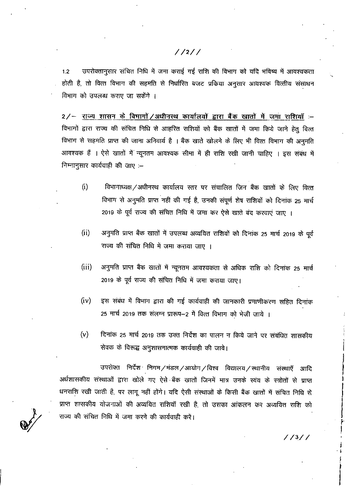## $1/211$

उपरोक्तानुसार संचित निधि में जमा कराई गई राशि की विभाग को यदि भविष्य में आवश्यकता  $1.2$ होती है, तो वित्त विभाग की सहमति से निर्धारित बजट प्रकिया अनुसार आवश्यक वित्तीय संसाधन विभाग को उपलब्ध कराए जा सकेंगे ।

2/- राज्य शासन के विभागों/अधीनस्थ कार्यालयों द्वारा बैंक खातों में जमा राशियाँ :-विभागों द्वारा राज्य की संचित निधि से आहरित राशियों को बैंक खातों में जमा किये जाने हेतु वित्त विभाग से सहमति प्राप्त की जाना अनिवार्य है । बैंक खाते खोलने के लिए भी वित्त विभाग की अनुमति आवश्यक हैं । ऐसे खातों में न्यूनतम आवश्यक सीमा में ही राशि रखी जानी चाहिए । इस संबंध में निम्नानुसार कार्यवाही की जाए :–

- विभागाध्यक्ष / अधीनस्थ कार्यालय स्तर पर संचालित जिन बैंक खातों के लिए वित्त  $(i)$ विभाग से अनुमति प्राप्त नहीं की गई है, उनकी संपूर्ण शेष राशियों को दिनांक 25 मार्च 2019 के पूर्व राज्य की संचित निधि में जमा कर ऐसे खाते बंद करवाएं जाए ।
- अनुमति प्राप्त बैंक खातों में उपलब्ध अव्ययित राशियों को दिनांक 25 मार्च 2019 के पूर्व  $(ii)$ राज्य की संचित निधि में जमा कराया जाए ।
- $(iii)$ अनुमति प्राप्त बैंक खातों में न्यूनतम आवश्यकता से अधिक राशि को दिनांक 25 मार्च 2019 के पूर्व राज्य की संचित निधि में जमा कराया जाए।
- इस संबंध में विभाग द्वारा की गई कार्यवाही की जानकारी प्रमाणीकरण सहित दिनांक  $(iv)$ 25 मार्च 2019 तक संलग्न प्रारूप–2 में वित्त विभाग को भेजी जाये ।
- $(v)$ दिनांक 25 मार्च 2019 तक उक्त निर्देश का पालन न किये जाने पर संबंधित शासकीय सेवक के विरूद्ध अनुशासनात्मक कार्यवाही की जावे।

उपरोक्त निर्देश निगम/मंडल/आयोग/विश्व विद्यालय/स्थानीय संस्थाएँ आदि अर्धशासकीय संस्थाओं द्वारा खोले गए ऐसे बैंक खातों जिनमें मात्र उनके स्वंय के स्त्रोतों से प्राप्त धनराशि रखी जाती है, पर लागू नहीं होंगे। यदि ऐसी संस्थाओं के किसी बैंक खातों में संचित निधि से प्राप्त शासकीय योजनाओं की अव्ययित राशियाँ रखी है, तो उसका आंकलन कर अव्ययित राशि को राज्य की संचित निधि में जमा करने की कार्यवाही करें।

 $1/3/7$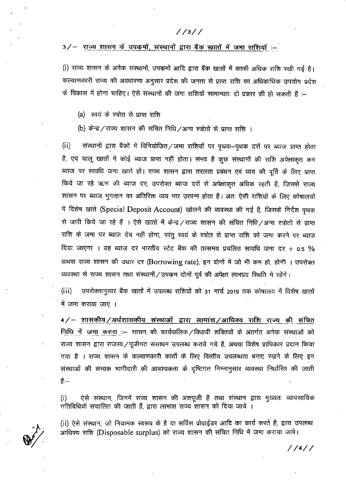### $1/3/7$

### 3/- राज्य शासन के उपकर्मो, संस्थानों द्वारा बैंक खातों में जमा राशियाँ :-

(i) राज्य शासन के अनेक संस्थानों, उपकर्मों आदि द्वारा बैंक खातों में काफी अधिक राशि रखी गई है। कल्याणकारी राज्य की अवधारणा अनुसार प्रदेश की जनता से प्राप्त राशि का अधिकाधिक उपयोग प्रदेश के विकास में होना चाहिए। ऐसे संस्थानों की जमा राशियॉ सामान्यतः दो प्रकार की हो सकती हैं :–

- (a) स्वयं के स्त्रोत से प्राप्त राशि
- (b) केन्द्र / राज्य शासन की संचित निधि /अन्य स्त्रोतों से प्राप्त राशि ।

 $(ii)$ संस्थानों द्वारा बैंकों में विनियोजित/जमा राशियों पर पृथक–पृथक दरों पर ब्याज प्राप्त होता है, एवं चालू खातों में कोई ब्याज प्राप्त नहीं होता। संभव है कूछ संस्थानों की राशि अपेक्षाकृत कम ब्याज पर सावधि जमा खाते हों। राज्य शासन द्वारा तरलता प्रबंधन एवं व्यय की पूर्ति के लिए प्राप्त किये जा रहे ऋण की ब्याज दर, उपरोक्त ब्याज दरों से अपेक्षाकृत अधिक रहती है, जिससे राज्य शासन पर ब्याज भुगतान का अतिरिक्त व्यय भार उत्पन्न होता है। अतः ऐसी राशियों के लिए कोषालयों में विशेष खाते (Special Deposit Account) खोलने की व्यवस्था की गई है, जिसके निर्देश पृथक से जारी किये जा रहे हैं । ऐसे खातों में केन्द्र / राज्य शासन की संचित निधि / अन्य स्त्रोतो से प्राप्त राशि के जमा पर ब्याज देय नहीं होगा, परंतु स्वयं के स्त्रोत से प्राप्त राशि को जमा करने पर ब्याज दिया जाएगा । यह ब्याज दर भारतीय स्टेट बैंक की तत्समय प्रचलित सावधि जमा दर + 0.5 % अथवा राज्य शासन की उधार दर (Borrowing rate), इन दोनों में जो भी कम हो, होगी । उपरोक्त व्यवस्था से राज्य शासन तथा संस्थानों / उपकम दोनों पूर्व की अपेक्षा लाभप्रद स्थिति में रहेंगे।

 $(iii)$ उपरोक्तानुसार बैंक खातों में उपलब्ध राशियों को 31 मार्च 2019 तक कोषालय में विशेष खातों में जमा कराया जाए ।

4/- शासकीय/अर्धशासकीय संस्थाओं द्वारा लामांश/आधिक्य राशि राज्य की संचित निधि में जमा करना :-- शासन की कार्यपालिक / विधायी शक्तियों के अंतर्गत अनेक संस्थाओं को राज्य शासन द्वारा राजस्व / पूंजीगत संसाधन उपलब्ध कराये गये है, अथवा विशेष प्राधिकार प्रदान किया गया है । राज्य शासन के कल्याणकारी कार्यो के लिए वित्तीय उपलब्धता बनाए रखने के लिए इन संस्थाओं की सम्यक भागीदारी की आवश्यकता के दृष्टिगत निम्नानुसार व्यवस्था निर्धारित की जाती है:—

ऐसे संस्थान, जिनमें राज्य शासन की अंशपूजी है तथा संस्थान द्वारा मुख्यतः व्यावसायिक  $(i)$ गतिविधियाँ संचालित की जाती हैं, द्वारा लाभांश राज्य शासन को दिया जाये ।

(ii) ऐसे संस्थान, जो नियामक स्वरूप के है या सर्विस प्रोवाईडर आदि का कार्य करते है, द्वारा उपलब्ध आधिक्य राशि (Disposable surplus) को राज्य शासन की संचित निधि में जमा कराया जाये।

//4//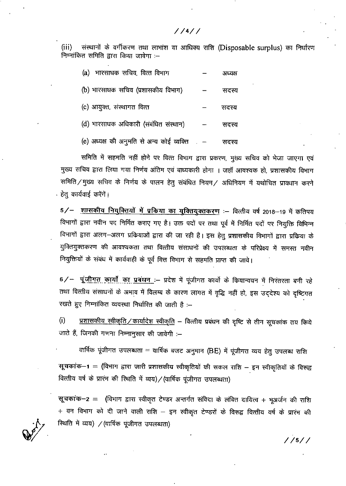संस्थानों के वर्गीकरण तथा लाभांश या आधिक्य राशि (Disposable surplus) का निर्धारण  $(iii)$ निम्नांकित समिति द्वारा किया जावेगा :-

| (a) भारसाधक सचिव, वित्त विभाग                   | अध्यक्ष |
|-------------------------------------------------|---------|
| (b) भारसाघक सचिव (प्रशासकीय विभाग)              | सदस्य   |
| (c) आयुक्त, संस्थागत वित्त                      | सदस्य   |
| (d) भारसाधक अधिकारी (संबंधित संस्थान)           | सदस्य   |
| (e) अध्यक्ष की अनुमति से अन्य कोई व्यक्ति   . — | सदस्य   |

समिति में सहमति नहीं होने पर वित्त विभाग द्वारा प्रकरण, मुख्य सचिव को भेजा जाएगा एवं मुख्य सचिव द्वारा लिया गया निर्णय अंतिम एवं बाध्यकारी होगा । जहाँ आवश्यक हो, प्रशासकीय विभाग समिति / मुख्य सचिव के निर्णय के पालन हेतु संबंधित नियम / अधिनियम में यथोचित प्रावधान करने <u>े हेतु</u> कार्यवाई करेंगें।

5/- शासकीय नियुक्तियों में प्रकिया का युक्तियुक्तकरण :- वित्तीय वर्ष 2018-19 में कतिपय विभागों द्वारा नवीन पद निर्मित कराए गए है। उक्त पदों पर तथा पूर्व में निर्मित पदों पर नियुक्ति विभिन्न विभागों द्वारा अलग-अलग प्रकियाओं द्वारा की जा रही है। इस हेतु प्रशासकीय विभागों द्वारा प्रकिया के युक्तियुक्तकरण की आवश्यकता तथा वित्तीय संसाधनों की उपलब्धता के परिप्रेक्ष्य में समस्त नवीन नियुक्तियों के संबंध में कार्यवाही के पूर्व वित्त विभाग से सहमति प्राप्त की जावे।

6/- पूंजीगत कार्यों का प्रबंधन :- प्रदेश में पूंजीगत कार्यों के कियान्वयन में निरंतरता बनी रहे तथा वित्तीय संसाधनों के अभाव में विलम्ब के कारण लागत में वृद्धि नहीं हो, इस उद्देश्य को दृष्टिगत रखते हुए निम्नांकित व्यवस्था निर्धारित की जाती है :--

 $(i)$ प्रशासकीय स्वीकृति/कार्यादेश स्वीकृति – वित्तीय प्रबंधन की दृष्टि से तीन सूचकांक तयू किये जाते हैं, जिनकी गणना निम्नानुसार की जावेगी :--

वार्षिक पूंजीगत उपलब्धता = वार्षिक बजट अनुमान (BE) में पूंजीगत व्यय हेतु उपलब्ध राशि

सूचकांक-1 = (विभाग द्वारा जारी प्रशासकीय स्वीकृतियों की सकल राशि - इन स्वीकृतियों के विरूद्व वित्तीय वर्ष के प्रारंभ की स्थिति में व्यय) / (वार्षिक पूंजीगत उपलब्धता)

सूचकांक-2 = (विभाग द्वारा स्वीकृत टेण्डर अन्तर्गत संविदा के लंबित दायित्व + भूअर्जन की राशि + वन विभाग को दी जाने वाली राशि – इन स्वीकृत टेण्डरों के विरूद्व वित्तीय वर्ष के प्रारंभ की रिथति में व्यय) / (वार्षिक पूंजीगत उपलब्धता)

 $1/4/7$ 

 $1/5/7$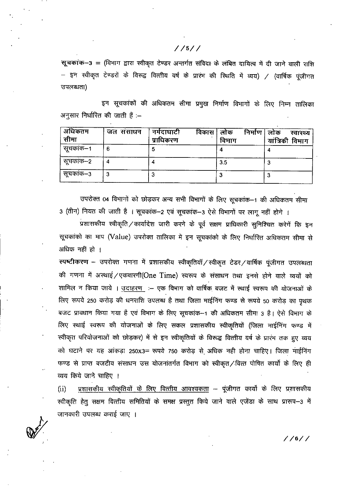सूचकांक-3 = (विभाग द्वारा स्वीकृत टेण्डर अन्तर्गत संविदा के लंबित दायित्व में दी जाने वाली राशि – इन स्वीकृत टेण्डरों के विरूद्व वित्तीय वर्ष के प्रारंभ की स्थिति में व्यय) / (वार्षिक पूंजीगत उपलब्धता)

इन सूचकांकों की अधिकतम सीमा प्रमुख निर्माण विभागों के लिए निम्न तालिका अनुसार निर्धारित की जाती हैं :–

| अधिकतम<br>सीमा | जल संसाधन | विकास<br>नर्मदाघाटी<br>प्राधिकरण | निर्माण<br>लाक<br>विभाग | लोक<br>स्वास्थ्य<br>यांत्रिकी विमाग |
|----------------|-----------|----------------------------------|-------------------------|-------------------------------------|
| सूचकांक–1      | 6         |                                  |                         |                                     |
| सूचकांक–2      |           |                                  | $3.5\,$                 |                                     |
| सूचकांक–3      |           |                                  |                         |                                     |

उपरोक्त 04 विभागों को छोड़कर अन्य सभी विभागों के लिए सूचकांक–1 की अधिकतम सीमा 3 (तीन) नियत की जाती है । सूचकांक-2 एवं सूचकांक-3 ऐसे विभागों पर लागू नहीं होगे ।

.<br>प्रशासकीय स्वीकृति / कार्यादेश जारी करने के पूर्व सक्षम प्राधिकारी सुनिश्चित करेगें कि इन सूचकांको का माप (Value) उपरोक्त तालिका में इन सूचकांको के लिए निर्धारित अधिकतम सीमा से अधिक नहीं हो ।

स्पष्टीकरण – उपरोक्त गणना में प्रशासकीय स्वीकृतियॉ/स्वीकृत टेडर/वार्षिक पूंजीगत उपलब्धता की गणना में अस्थाई/एकबारगी(One Time) स्वरूप के संसाधन तथा इनसे होने वाले व्ययों को शामिल न किया जाये । उदाहरण :- एक विभाग को वार्षिक बजट में स्थाई स्वरूप की योजनाओं के लिए रूपये 250 करोड़ की धनराशि उपलब्ध है तथा जिला माईनिंग फण्ड से रूपये 50 करोड़ का पृथक बजट प्रावधान किया गया है एवं विभाग के लिए सूचकांक-1 की अधिकतम सीमा 3 है। ऐसे विभाग के लिए स्थाई स्वरूप की योजनाओं के लिए सकल प्रशासकीय स्वीकृतियों (जिला माईनिंग फण्ड में स्वीकृत परियोजनाओं को छोड़कर) में से इन स्वीकृतियों के विरूद्ध वित्तीय वर्ष के प्रारंभ तक हुए व्यय को घटाने पर यह आंकड़ा 250x3= रूपये 750 करोड़ से अधिक नही होना चाहिए। जिला माईनिंग फण्ड से प्राप्त बजटीय संसाधन उस योजनांतर्गत विभाग को स्वीकृत/वित्त पोषित कार्यो के लिए ही व्यय किये जाने चाहिए ।

प्रशासकीय स्वीकृतियों के लिए वित्तीय आवश्यकता – पूंजीगत कार्यो के लिए प्रशासकीय  $(ii)$ स्वीकृति हेतू सक्षम वित्तीय समितियों के समक्ष प्रस्तुत किये जाने वाले एजेंडा के साथ प्रारूप–3 में जानकारी उपलब्ध कराई जाए ।

 $1/6/7$ 

### $1/5/7$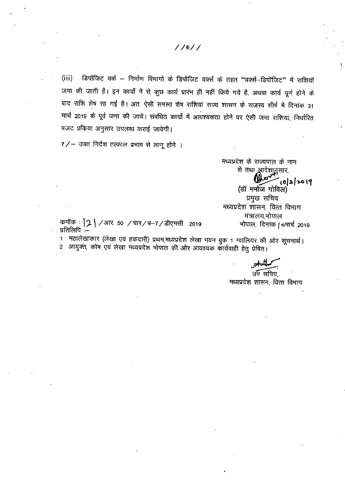$1/6/7$ 

डिपॉजिट वर्क – निर्माण विभागों के डिपॉजिट वर्क्स के तहत "वर्क्स–डिपॉजिट" में राशियॉ  $(iii)$ जमा की जाती हैं। इन कार्यों में से कुछ कार्य प्रारंभ ही नहीं किये गये है, अथवा कार्य पूर्ण होने के बाद राशि शेष रह गई हैं। अतः ऐसी समस्त शेष राशियां राज्य शासन के राजस्व शीर्ष में दिनांक 31 मार्च 2019 के पूर्व जमा की जायें। संबंधित कार्यों में आवश्यकता होने पर ऐसी जमा राशियां, निर्धारित बजट प्रकिया अनुसार उपलब्ध कराई जावेगी।

7/- उक्त निर्देश तत्काल प्रभाव से लागू होंगे ।

मध्यप्रदेश के राज्यपाल के नाम से तथा आदेशानुसार  $0.0007$   $(0|3|3019)$ (डॉ मनोज गोविल) प्रमुख सचिव मध्यप्रदेश शासन, वित्त विभाग मंत्रालय,भोपाल भोपाल, दिनांक / 6मार्च 2019

कमॉक :  $2$  / आर. 50 / चार/ब-7/डीएमसी 2019 प्रतिलिपि :—

1 महालेखाकार (लेखा एवं हकदारी) प्रथम,मध्यप्रदेश लेखा भवन बुक 1 ग्वालियंर की ओर सूचनार्थ। 2 आयुक्त, कोष एवं लेखा मध्यप्रदेश भोपाल की ओर आवश्यक कार्यवाही हेतु प्रेषित।

उप सचिव मध्यप्रदेश शासन, वित्त विभाग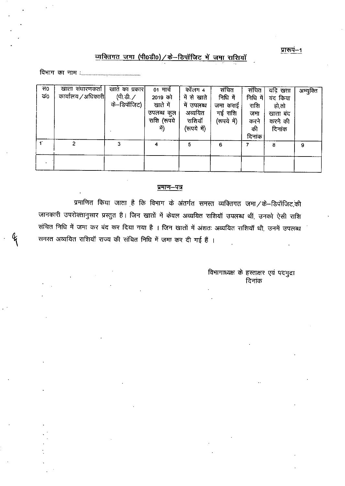प्रारूप-1

# व्यक्तिगत जमा (पी0डी0) / के-डिपॉजिट में जमा राशियाँ

| स०<br>ФΟ | खाता संधारणकर्ता  <br>कार्यालय / अधिकारी | खाते का प्रकार <br>(पी.डी. /<br>के–डिपॉजिट) | 01 मार्च<br>2019 को<br>खाते में<br>उपलब्ध कुल<br>राशि (रूपये<br>में) | कॉलम ४<br>में से खाते<br>मे उपलब्ध<br>अव्ययित<br>राशियाँ<br>(रूपये में) | संचित<br>निधि में<br>जमा कराई<br>गई राशि<br>(रूपये में) | संचित<br>निधि में <br>राशि<br>जमा<br>करने<br>की<br>दिनांक | यदि खता<br>बंद किया<br>हो,तो<br>खाता बंद<br>करने की<br>दिनांक | अभ्युक्ति |
|----------|------------------------------------------|---------------------------------------------|----------------------------------------------------------------------|-------------------------------------------------------------------------|---------------------------------------------------------|-----------------------------------------------------------|---------------------------------------------------------------|-----------|
|          | $\overline{2}$                           | З                                           |                                                                      | 5                                                                       | 6                                                       |                                                           | 8                                                             | 9         |
|          |                                          |                                             |                                                                      |                                                                         |                                                         |                                                           |                                                               |           |

### प्रमाण–पत्र

प्रमाणित किया जाता है कि विभाग के अंतर्गत समस्त व्यक्तिगत जमा / के--डिपॉजिट,की जानकारी उपरोक्तानुसार प्रस्तुत है। जिन खातों में केवल अव्ययित राशियॉ उपलब्ध थीं, उनको ऐसी राशि संचित निधि में जमा कर बंद कर दिया गया है । जिन खातों में अंशतः अव्ययित राशियाँ थी, उनमें उपलब्ध समस्त अव्ययित राशियाँ राज्य की संचित निधि में जमा कर दी गई हैं ।

> विभागाध्यक्ष के हस्ताक्षर एवं पदमुद्रा दिनांक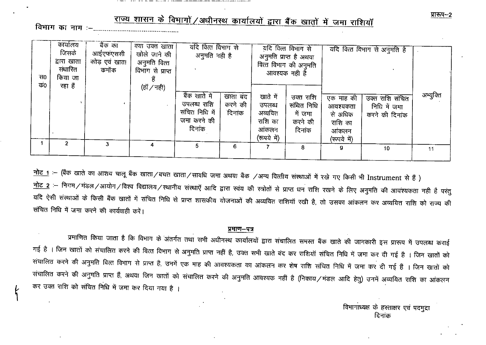राज्य शासन के विभागों / अधीनस्थ कार्यालयों द्वारा बैंक खातों में जमा राशियाँ 

| स0<br>कं0 | कार्यालय<br>जिसके<br>द्वारा खाता<br>संधारित<br>किया जा<br>रहा हैं | बैंक का<br>आईएफएससी<br>कोड़ एवं खाता<br>कमॉक | क्या उक्त खाता '<br>खोले जाने की<br>अनुमति वित्त<br>विभाग से प्राप्त<br>(हॉं / नही) | यदि वित्त विभाग से<br>अनुमति नही है<br>बैंक खाते में   |                               |                                                                  | यदि वित्त विभाग से<br>अनुमति प्राप्त है अथवा<br>वित्त विभाग की अनुमति<br>आवश्यक नही है |                                                                     | यदि वित्त विभाग से अनुमति है                      | अभ्युक्ति |
|-----------|-------------------------------------------------------------------|----------------------------------------------|-------------------------------------------------------------------------------------|--------------------------------------------------------|-------------------------------|------------------------------------------------------------------|----------------------------------------------------------------------------------------|---------------------------------------------------------------------|---------------------------------------------------|-----------|
|           |                                                                   |                                              |                                                                                     | उपलब्ध राशि<br>संचित निधि में<br>जमा करने की<br>दिनांक | खाता बंद<br>करने की<br>दिनांक | खाते में<br>उपलब्ध<br>अव्ययित<br>राशि का<br>आंकलन<br>(रूपये में) | उक्त राशि<br>संचित निधि<br>में जमा<br>करने की<br>दिनांक                                | एक माह की<br>आवश्यकता<br>से अधिक<br>राशि का<br>आंकलन<br>(रूपये में) | उक्त राशि संचित<br>निधि में जमा<br>करने की दिनांक |           |
|           |                                                                   | 3.                                           | 4                                                                                   | 5                                                      | 6.                            |                                                                  | 8                                                                                      | 9                                                                   | 10                                                | 11        |

<u>नोट 1</u> :- (बैंक खाते का आशय चालू बैंक खाता / बचत खाता / सावधि जमा अथवा बैंक /अन्य वित्तीय संस्थाओं में रखे गए किसी भी Instrument से हैं ) नोट 2 :– निगम/मंडल/आयोग/विश्व विद्यालय/स्थानीय संस्थाएँ आदि द्वारा स्वंय की स्त्रोतों से प्राप्त धन राशि रखने के लिए अनुमति की आवश्यकता नही है परंतु यदि ऐसी संस्थाओं के किसी बैंक खातों में संचित निधि से प्राप्त शासकीय योजनाओं की अव्ययित राशियाँ रखी है, तो उसका आंकलन कर अव्ययित राशि को राज्य की संचित निधि में जमा करने की कार्यवाही करें।

#### प्रमाण-पत्र

प्रमाणित किया जाता है कि विभाग के अंतर्गत तथा सभी अधीनस्थ कार्यालयों द्वारा संचालित समस्त बैंक खाते की जानकारी इस प्रारूप में उपलब्ध कराई गई है । जिन खातों को संचालित करने की वित्त विभाग से अनुमति प्राप्त नहीं है, उक्त सभी खाते बंद कर राशियॉ संचित निधि में जमा कर दी गई है । जिन खातों को संचालित करने की अनुमति वित्त विभाग से प्राप्त है, उनमें एक माह की आवश्यकता का आंकलन कर शेष राशि संचित निधि में जमा कर दी गई हैं । जिन खातों को संचालित करने की अनुमति प्राप्त हैं, अथवा जिन खातों को संचालित करने की अनुमति आवश्यक नहीं है (निकाय/मंडल आदि हेतु) उनमें अव्ययित राशि का आंकलन कर उक्त राशि को संचित निधि में जमा कर दिया गया है ।

> विभागाध्यक्ष के हस्ताक्षर एवं पदमुद्रा दिनांक

प्रारूप--2